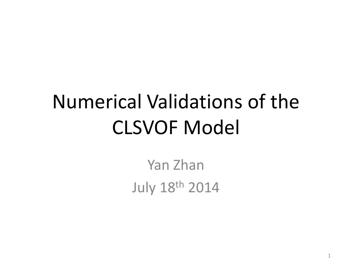## Numerical Validations of the CLSVOF Model

Yan Zhan July 18th <sup>2014</sup>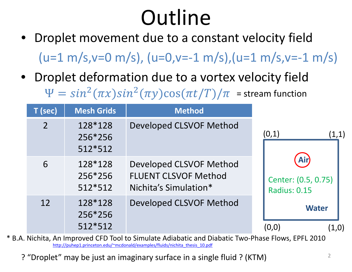# **Outline**

- Droplet movement due to <sup>a</sup> constant velocity field  $( u=1 m/s, v=0 m/s), ( u=0, v=-1 m/s), ( u=1 m/s, v=-1 m/s)$
- Droplet deformation due to <sup>a</sup> vortex velocity field  $^{2}(\pi x)sin^{2}(\pi y)cos(\pi t/T)/\pi$  = stream function

| T (sec)        | <b>Mesh Grids</b>             | <b>Method</b>                                                                          |                                                          |
|----------------|-------------------------------|----------------------------------------------------------------------------------------|----------------------------------------------------------|
| $\overline{2}$ | 128*128<br>256*256<br>512*512 | <b>Developed CLSVOF Method</b>                                                         | (0,1)<br>(1,1)                                           |
| 6              | 128*128<br>256*256<br>512*512 | <b>Developed CLSVOF Method</b><br><b>FLUENT CLSVOF Method</b><br>Nichita's Simulation* | <b>Air</b><br>Center: (0.5, 0.75)<br><b>Radius: 0.15</b> |
| 12             | 128*128<br>256*256<br>512*512 | <b>Developed CLSVOF Method</b>                                                         | <b>Water</b><br>(0.0)<br>(1,0)                           |

\* B.A. Nichita, An Improved CFD Tool to Simulate Adiabatic and Diabatic Two‐Phase Flows, EPFL 2010 http://puhep1.princeton.edu/~mcdonald/examples/fluids/nichita\_thesis\_10.pdf

? "Droplet" may be just an imaginary surface in <sup>a</sup> single fluid ? (KTM)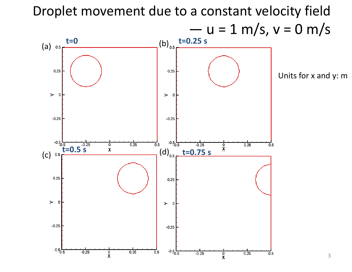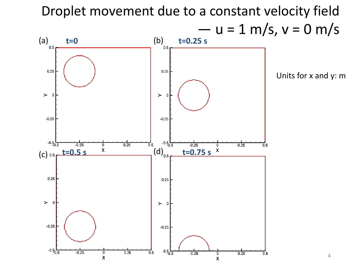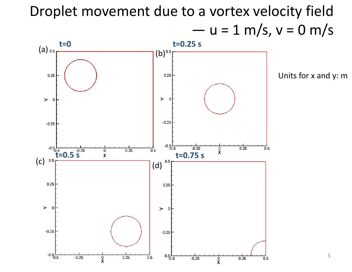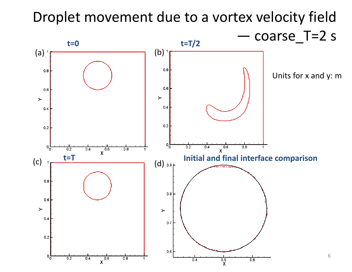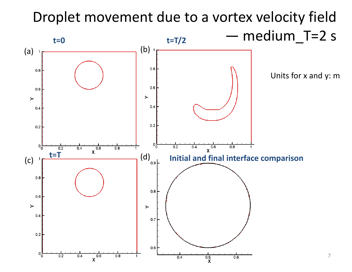#### Droplet movement due to <sup>a</sup> vortex velocity field medium\_T=2 <sup>s</sup> **t=0 t=T/2** —(a) (b)  $0.8$  $0.8$ Units for <sup>x</sup> and y: m

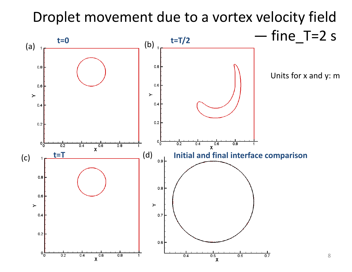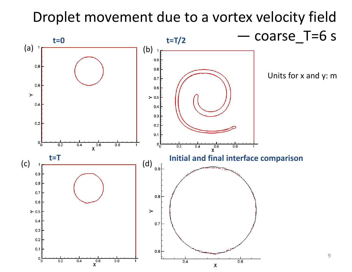#### Droplet movement due to <sup>a</sup> vortex velocity field coarse\_T=6 <sup>s</sup> **t=0 t=T/2** —(a) (b)  $0.9$  $0.8$  $0.8$ Units for <sup>x</sup> and y: m $0.7$  $0.6$  $0.6$  $\succ$  $\succ$  0.5  $0.4$  $0.4$  $0.3$  $0.2$  $0.2$  $0.1$  $\frac{1}{x}$  $0\frac{L}{0}$  $\overline{0.2}$  $0\frac{5}{0}$  $0.4$  $0.8$  $\overline{x}$ <sup>0.6</sup>  $0.2$  $0.4$  $0.8$  $\overline{1}$ **t=T Initial and final interface comparison** (c) <del>1 (d)</del> (d)  $0.9$  $0.9$  $0.8$  $0.7$  $0.8$  $0.6$  $\succ$  $\succ$  0.5  $0.4$  $0.7$  $0.3$  $0.2$  $0.1$  $0.6$ 9 $\mathfrak{o}^{\mathsf{L}}_{0}$  $\overline{x}$ <sup>0.6</sup>  $0.2$  $0.4$  $0.8$  $\mathbf{1}$  $0.4$  $0.6$  $\boldsymbol{\mathsf{X}}$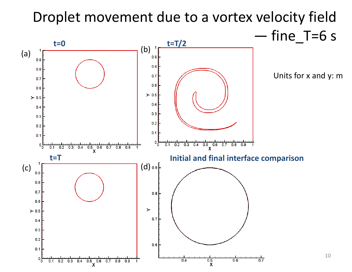### Droplet movement due to <sup>a</sup> vortex velocity field fine\_T=6 <sup>s</sup>

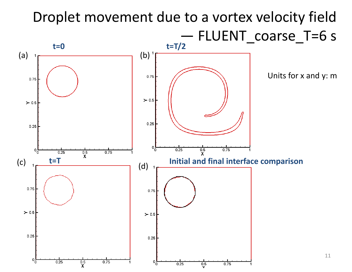#### Droplet movement due to <sup>a</sup> vortex velocity field FLUENT\_coarse\_T=6 <sup>s</sup> **t=0 t=T/2** (a) 1<del>, (b)</del> Units for <sup>x</sup> and y: m0.75 0.75  $\succ$  0.5  $\geq 0.5$  $0.25$  $0.25$  $0<sub>0</sub>$  $0.25$  $\frac{0.5}{x}$  $0.75$  $0<sub>0</sub>$  $0.25$  $\frac{0.5}{X}$  $0.75$ **t=T Initial and final interface comparison** (c) (d) 0.75 0.75  $\succ$  0.5  $\geq 0.5$  $0.25$  $0.25$ 11 $0\frac{L}{0}$  $\mathfrak{o}^{\mathsf{L}}_{\mathsf{0}}$  $\overline{0.5}$ <br>X  $0.25$  $0.75$  $0.25$  $\frac{0.5}{5}$  $0.75$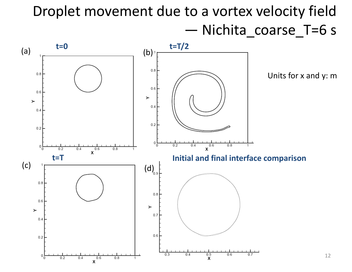### Droplet movement due to <sup>a</sup> vortex velocity field —Nichita\_coarse\_T=6 <sup>s</sup>

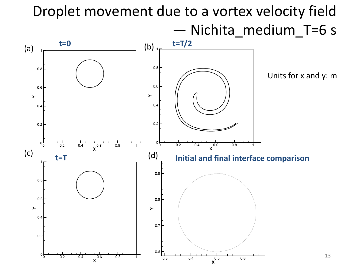#### Droplet movement due to <sup>a</sup> vortex velocity field Nichita\_medium\_T=6 <sup>s</sup> **t=0 t=T/2** (a) (b)  $0.8$  $0.8$ Units for <sup>x</sup> and y: m $0.6$  $0.6$  $\succ$ ≻  $0.4$  $0.4$  $0.2$  $0.2$  $\circ$ <sub>0</sub> 0  $0.2$  $x^{0.6}$  $0.8$  $0.4$ 1  $0.2$  $0.4$  $0.8$  $(c)$   $t=T$  (d) **t=T Initial and final interface comparison**  $0.9$  $0.8$  $0.6$  $0.8$  $\blacktriangleright$  $\blacktriangleright$  $0.4$  $0.7$  $0.2$  $0.6$  $\circ$ <sub>0</sub> 13 $x^{0.5}$  $0.2$  $0.4$  $0.6$  $0.8$  $0.3$  $0.4$  $0.6$

X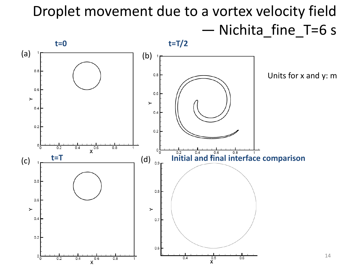## Droplet movement due to <sup>a</sup> vortex velocity field —Nichita\_fine\_T=6 <sup>s</sup>

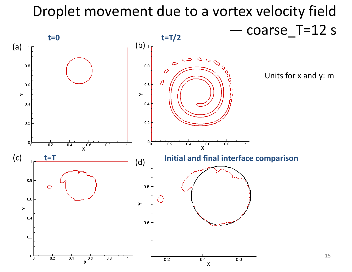## Droplet movement due to <sup>a</sup> vortex velocity field